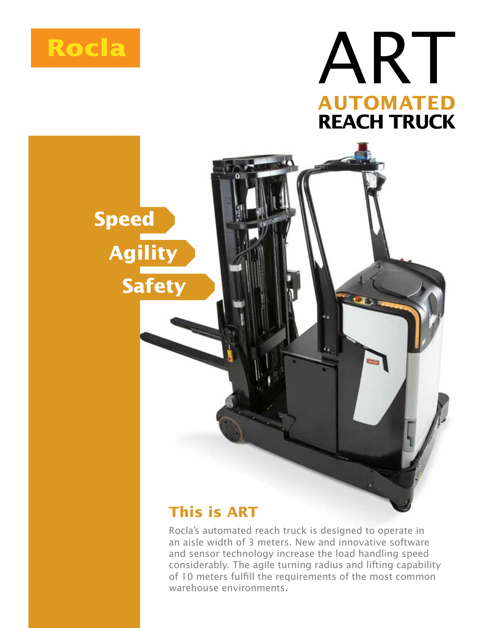





## **This is ART**

Rocla's automated reach truck is designed to operate in an aisle width of 3 meters. New and innovative software and sensor technology increase the load handling speed considerably. The agile turning radius and lifting capability of 10 meters fulfill the requirements of the most common warehouse environments.